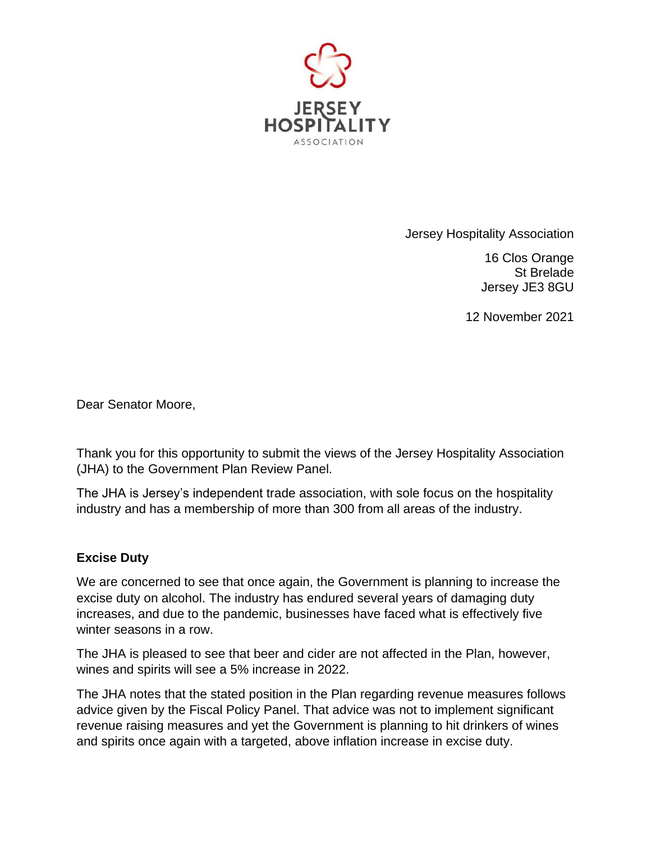

Jersey Hospitality Association

16 Clos Orange St Brelade Jersey JE3 8GU

12 November 2021

Dear Senator Moore,

Thank you for this opportunity to submit the views of the Jersey Hospitality Association (JHA) to the Government Plan Review Panel.

The JHA is Jersey's independent trade association, with sole focus on the hospitality industry and has a membership of more than 300 from all areas of the industry.

## **Excise Duty**

We are concerned to see that once again, the Government is planning to increase the excise duty on alcohol. The industry has endured several years of damaging duty increases, and due to the pandemic, businesses have faced what is effectively five winter seasons in a row.

The JHA is pleased to see that beer and cider are not affected in the Plan, however, wines and spirits will see a 5% increase in 2022.

The JHA notes that the stated position in the Plan regarding revenue measures follows advice given by the Fiscal Policy Panel. That advice was not to implement significant revenue raising measures and yet the Government is planning to hit drinkers of wines and spirits once again with a targeted, above inflation increase in excise duty.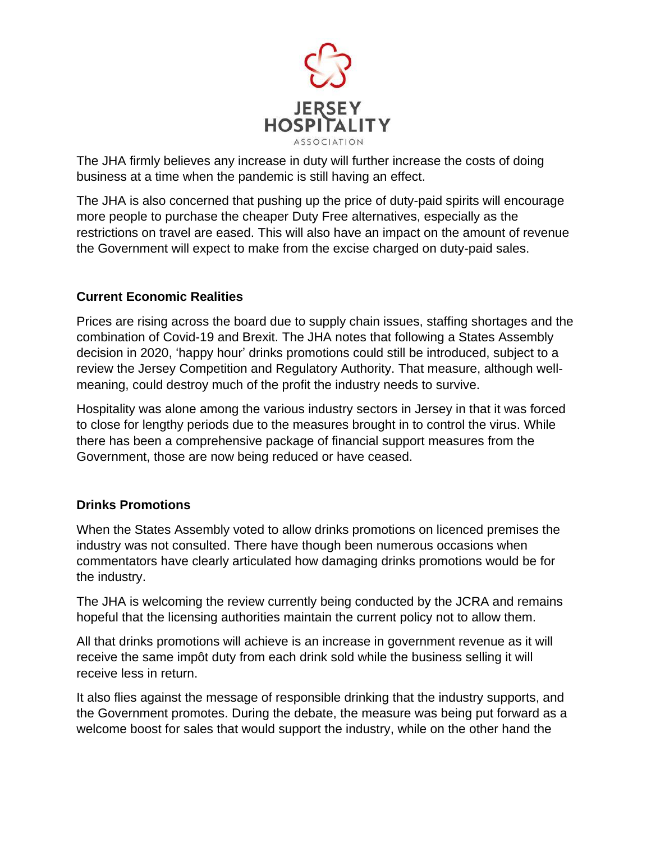

The JHA firmly believes any increase in duty will further increase the costs of doing business at a time when the pandemic is still having an effect.

The JHA is also concerned that pushing up the price of duty-paid spirits will encourage more people to purchase the cheaper Duty Free alternatives, especially as the restrictions on travel are eased. This will also have an impact on the amount of revenue the Government will expect to make from the excise charged on duty-paid sales.

## **Current Economic Realities**

Prices are rising across the board due to supply chain issues, staffing shortages and the combination of Covid-19 and Brexit. The JHA notes that following a States Assembly decision in 2020, 'happy hour' drinks promotions could still be introduced, subject to a review the Jersey Competition and Regulatory Authority. That measure, although wellmeaning, could destroy much of the profit the industry needs to survive.

Hospitality was alone among the various industry sectors in Jersey in that it was forced to close for lengthy periods due to the measures brought in to control the virus. While there has been a comprehensive package of financial support measures from the Government, those are now being reduced or have ceased.

## **Drinks Promotions**

When the States Assembly voted to allow drinks promotions on licenced premises the industry was not consulted. There have though been numerous occasions when commentators have clearly articulated how damaging drinks promotions would be for the industry.

The JHA is welcoming the review currently being conducted by the JCRA and remains hopeful that the licensing authorities maintain the current policy not to allow them.

All that drinks promotions will achieve is an increase in government revenue as it will receive the same impôt duty from each drink sold while the business selling it will receive less in return.

It also flies against the message of responsible drinking that the industry supports, and the Government promotes. During the debate, the measure was being put forward as a welcome boost for sales that would support the industry, while on the other hand the